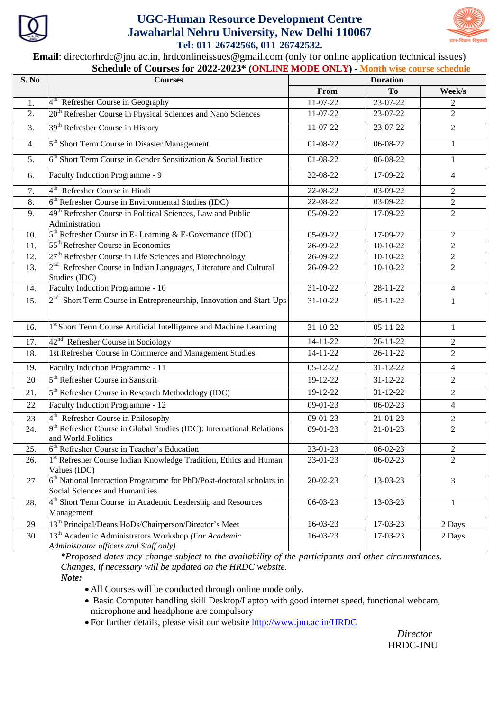

## **UGC-Human Resource Development Centre Jawaharlal Nehru University, New Delhi 110067 Tel: 011-26742566, 011-26742532.**



**Email**: directorhrdc@jnu.ac.in, hrdconlineissues@gmail.com (only for online application technical issues)  **Schedule of Courses for 2022-2023\* (ONLINE MODE ONLY) - Month wise course schedule**

| S. No | <b>Courses</b>                                                                                            | <b>Duration</b>        |                |                  |
|-------|-----------------------------------------------------------------------------------------------------------|------------------------|----------------|------------------|
|       |                                                                                                           | From                   | <b>To</b>      | Week/s           |
| 1.    | $4th$ Refresher Course in Geography                                                                       | 11-07-22               | 23-07-22       | 2                |
| 2.    | 20 <sup>th</sup> Refresher Course in Physical Sciences and Nano Sciences                                  | 11-07-22               | 23-07-22       | $\overline{2}$   |
| 3.    | 39 <sup>th</sup> Refresher Course in History                                                              | 11-07-22               | 23-07-22       | $\overline{2}$   |
| 4.    | 5 <sup>th</sup> Short Term Course in Disaster Management                                                  | 01-08-22               | 06-08-22       | $\mathbf{1}$     |
| 5.    | $6th$ Short Term Course in Gender Sensitization & Social Justice                                          | 01-08-22               | 06-08-22       | $\mathbf{1}$     |
| 6.    | Faculty Induction Programme - 9                                                                           | 22-08-22               | 17-09-22       | $\overline{4}$   |
| 7.    | 4 <sup>th</sup> Refresher Course in Hindi                                                                 | 22-08-22               | 03-09-22       | 2                |
| 8.    | 6 <sup>th</sup> Refresher Course in Environmental Studies (IDC)                                           | 22-08-22               | 03-09-22       | $\overline{2}$   |
| 9.    | 49 <sup>th</sup> Refresher Course in Political Sciences, Law and Public<br>Administration                 | 05-09-22               | 17-09-22       | $\overline{2}$   |
| 10.   | $5th$ Refresher Course in E-Learning & E-Governance (IDC)                                                 | 05-09-22               | 17-09-22       | 2                |
| 11.   | 55 <sup>th</sup> Refresher Course in Economics                                                            | 26-09-22               | $10-10-22$     | $\mathfrak{2}$   |
| 12.   | 27 <sup>th</sup> Refresher Course in Life Sciences and Biotechnology                                      | 26-09-22               | $10-10-22$     | $\overline{2}$   |
| 13.   | $2nd$ Refresher Course in Indian Languages, Literature and Cultural<br>Studies (IDC)                      | 26-09-22               | $10-10-22$     | $\overline{2}$   |
| 14.   | Faculty Induction Programme - 10                                                                          | $31 - 10 - 22$         | $28 - 11 - 22$ | $\overline{4}$   |
| 15.   | 2 <sup>nd</sup> Short Term Course in Entrepreneurship, Innovation and Start-Ups                           | $31 - 10 - 22$         | $05 - 11 - 22$ | $\mathbf{1}$     |
| 16.   | 1 <sup>st</sup> Short Term Course Artificial Intelligence and Machine Learning                            | $31 - 10 - 22$         | $05 - 11 - 22$ | $\mathbf{1}$     |
| 17.   | 42 <sup>nd</sup> Refresher Course in Sociology                                                            | $\overline{1}$ 4-11-22 | $26 - 11 - 22$ | 2                |
| 18.   | 1st Refresher Course in Commerce and Management Studies                                                   | $14 - 11 - 22$         | $26 - 11 - 22$ | $\overline{2}$   |
| 19.   | Faculty Induction Programme - 11                                                                          | $\overline{0}$ 5-12-22 | $31 - 12 - 22$ | 4                |
| 20    | 5 <sup>th</sup> Refresher Course in Sanskrit                                                              | 19-12-22               | $31 - 12 - 22$ | $\overline{2}$   |
| 21.   | $5th$ Refresher Course in Research Methodology (IDC)                                                      | 19-12-22               | $31 - 12 - 22$ | 2                |
| 22    | Faculty Induction Programme - 12                                                                          | 09-01-23               | $06 - 02 - 23$ | $\overline{4}$   |
| 23    | 4 <sup>th</sup> Refresher Course in Philosophy                                                            | 09-01-23               | $21 - 01 - 23$ | $\overline{2}$   |
| 24.   | $9th$ Refresher Course in Global Studies (IDC): International Relations<br>and World Politics             | 09-01-23               | $21 - 01 - 23$ | $\overline{2}$   |
| 25.   | 6 <sup>th</sup> Refresher Course in Teacher's Education                                                   | 23-01-23               | $06 - 02 - 23$ | $\boldsymbol{2}$ |
| 26.   | 1 <sup>st</sup> Refresher Course Indian Knowledge Tradition, Ethics and Human<br>Values (IDC)             | 23-01-23               | $06-02-23$     | $\overline{2}$   |
| 27    | $6th$ National Interaction Programme for PhD/Post-doctoral scholars in<br>Social Sciences and Humanities  | $20 - 02 - 23$         | 13-03-23       | $\overline{3}$   |
| 28.   | $4th$ Short Term Course in Academic Leadership and Resources<br>Management                                | 06-03-23               | 13-03-23       | $\mathbf{1}$     |
| 29    | 13 <sup>th</sup> Principal/Deans.HoDs/Chairperson/Director's Meet                                         | 16-03-23               | 17-03-23       | 2 Days           |
| 30    | 13 <sup>th</sup> Academic Administrators Workshop (For Academic<br>Administrator officers and Staff only) | 16-03-23               | 17-03-23       | 2 Days           |

*\*Proposed dates may change subject to the availability of the participants and other circumstances. Changes, if necessary will be updated on the HRDC website.*

*Note:*

- All Courses will be conducted through online mode only.
- Basic Computer handling skill Desktop/Laptop with good internet speed, functional webcam, microphone and headphone are compulsory
- For further details, please visit our website<http://www.jnu.ac.in/HRDC>

 *Director* HRDC-JNU